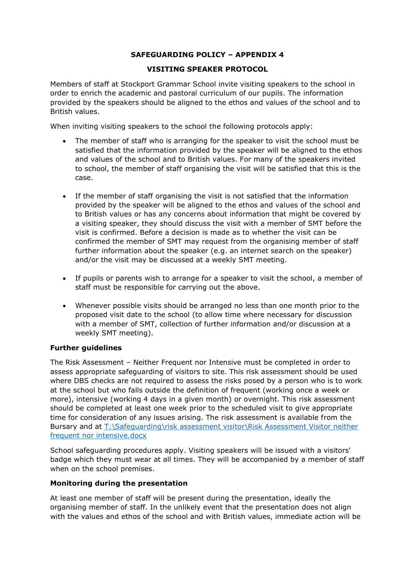# **SAFEGUARDING POLICY – APPENDIX 4**

## **VISITING SPEAKER PROTOCOL**

Members of staff at Stockport Grammar School invite visiting speakers to the school in order to enrich the academic and pastoral curriculum of our pupils. The information provided by the speakers should be aligned to the ethos and values of the school and to British values.

When inviting visiting speakers to the school the following protocols apply:

- The member of staff who is arranging for the speaker to visit the school must be satisfied that the information provided by the speaker will be aligned to the ethos and values of the school and to British values. For many of the speakers invited to school, the member of staff organising the visit will be satisfied that this is the case.
- If the member of staff organising the visit is not satisfied that the information provided by the speaker will be aligned to the ethos and values of the school and to British values or has any concerns about information that might be covered by a visiting speaker, they should discuss the visit with a member of SMT before the visit is confirmed. Before a decision is made as to whether the visit can be confirmed the member of SMT may request from the organising member of staff further information about the speaker (e.g. an internet search on the speaker) and/or the visit may be discussed at a weekly SMT meeting.
- If pupils or parents wish to arrange for a speaker to visit the school, a member of staff must be responsible for carrying out the above.
- Whenever possible visits should be arranged no less than one month prior to the proposed visit date to the school (to allow time where necessary for discussion with a member of SMT, collection of further information and/or discussion at a weekly SMT meeting).

## **Further guidelines**

The Risk Assessment – Neither Frequent nor Intensive must be completed in order to assess appropriate safeguarding of visitors to site. This risk assessment should be used where DBS checks are not required to assess the risks posed by a person who is to work at the school but who falls outside the definition of frequent (working once a week or more), intensive (working 4 days in a given month) or overnight. This risk assessment should be completed at least one week prior to the scheduled visit to give appropriate time for consideration of any issues arising. The risk assessment is available from the Bursary and at [T:\Safeguarding\risk assessment visitor\Risk Assessment Visitor neither](file://///stockportgrsch.net/files/Staff/Safeguarding/risk%20assessment%20visitor/Risk%20Assessment%20Visitor%20neither%20frequent%20nor%20intensive.docx)  [frequent nor intensive.docx](file://///stockportgrsch.net/files/Staff/Safeguarding/risk%20assessment%20visitor/Risk%20Assessment%20Visitor%20neither%20frequent%20nor%20intensive.docx)

School safeguarding procedures apply. Visiting speakers will be issued with a visitors' badge which they must wear at all times. They will be accompanied by a member of staff when on the school premises.

#### **Monitoring during the presentation**

At least one member of staff will be present during the presentation, ideally the organising member of staff. In the unlikely event that the presentation does not align with the values and ethos of the school and with British values, immediate action will be